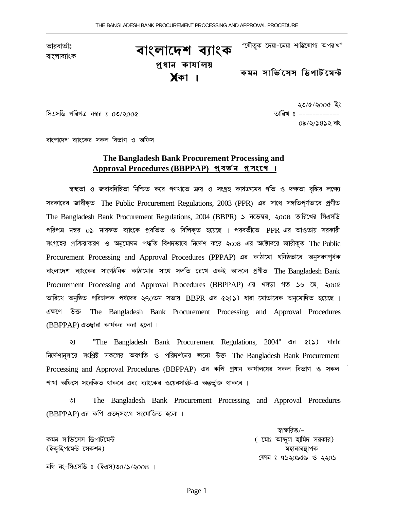তারবার্তাঃ <sup>তারবাতাঃ</sup> **বাংলাদেশ ব্যাংক**  "যৌতুক দেয়া–নেয়া শাস্তিযোগ্য অপরাখ"

<u>প</u>ুধান কাৰ্যালয় **XàNà |**

কমন সাভিনেস **ডিপা**র্টমেন্ট

সিএসডি পরিপত্র নম্বর ঃ ০৩/২০০৫ <sup>→</sup> ১৯০০ <del>১৯০০ চন ১৯০০ চন ১৯০০ চন ১৯০০ চন ১৯০০ চন ১৯০০ চন ১৯০০ চন ১৯০০ চন ১৯০০ চন</del>

২৩/৫/২০০৫ ইং 0৯/২/১৪১২ বাং

বাংলাদেশ ব্যাংকের সকল বিভাগ ও অফিস

### **The Bangladesh Bank Procurement Processing and**  $A$ pproval Procedures (BBPPAP) প্ৰত<sup>়</sup>ন প্ৰসংগে ।

স্বচ্ছতা ও জবাবদিহিতা নিশ্চিত করে গণখাতে ক্রয় ও সংগ্রহ কার্যক্রমের গতি ও দক্ষতা বৃধ্ধির লক্ষ্যে সরকারের জারীকৃত The Public Procurement Regulations, 2003 (PPR) এর সাথে সঙ্গতিপূর্ণভাবে প্রণীত The Bangladesh Bank Procurement Regulations, 2004 (BBPR) ১ নভেম্বর, ২০০৪ তারিখের সিএসডি পরিপত্র নম্বর  $0$ ১ মারফত ব্যাংকে প্রবর্তিত ও বিলিকৃত হয়েছে । পরবর্তীতে PPR এর আওতায় সরকারী সংগ্রহের প্রক্রিয়াকরণ ও অনুমোদন পধ্ধতি বিশদভাবে নির্দেশ করে ২০০৪ এর অক্টোবরে জারীকৃত The Public Procurement Processing and Approval Procedures (PPPAP) এর কাঠামো ঘনিষ্ঠভাবে অনুসরণপূর্বক বাংলাদেশ ব্যাংকের সাংগঠনিক কাঠামোর সাথে সঙ্গতি রেখে একই আদলে প্রণীত The Bangladesh Bank Procurement Processing and Approval Procedures (BBPPAP) এর খসড়া গত ১৬ মে. ২০০৫ তারিখে অনুষ্ঠিত পরিচালক পর্যদের ২৭ $o$ তম সভায়  $\overline{BBPR}$  এর ৫২(১) ধারা মোতাবেক অনুমোদিত হয়েছে । GTéƒ D‰ï The Bangladesh Bank Procurement Processing and Approval Procedures (BBPPAP) এতদ্বারা কার্যকর করা হলো ।

২। "The Bangladesh Bank Procurement Regulations, 2004" এর ৫(১) ধারার নির্দেশানুসারে সংশ্লিষ্ট সকলের অবগতি ও পরিদর্শনের জন্যে উক্ত The Bangladesh Bank Procurement Processing and Approval Procedures (BBPPAP) এর কপি প্রধান কার্যালয়ের সকল বিভাগ ও সকল শাখা অফিসে সংরক্ষিত থাকবে এবং ব্যাংকের ওয়েবসাইট–এ অন্তর্ভক্ত থাকবে ।

3| The Bangladesh Bank Procurement Processing and Approval Procedures (BBPPAP) এর কপি এতদসংগে সংযোজিত হলো।

(BNãüBŸé±™u éÏNŘ) ±Úà©ü©ÓõàŸN

স্বাক্ষরিত/– N±˜ Ïàá®îéÏÏ áxŸàuîé±™u ( é±àL Aà«ã½ Úàá±ÿ ϼNà¼) কোন ঃ ৭১২০৯৫৯ ও ২২০১

নথি নং-সিএসডিঃ (ইএস)৩ $0/$ ১/২ $008$  ।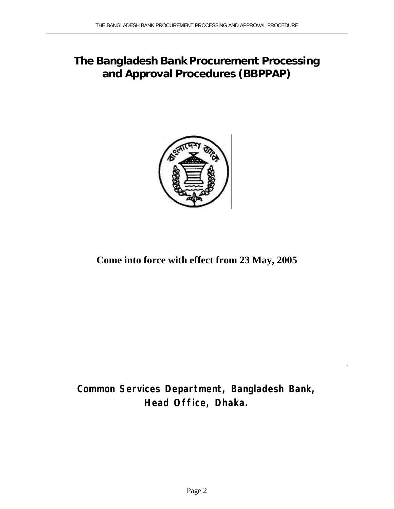# **The Bangladesh Bank Procurement Processing and Approval Procedures (BBPPAP)**



**Come into force with effect from 23 May, 2005**

**Common Services Department, Bangladesh Bank, Head Office, Dhaka.**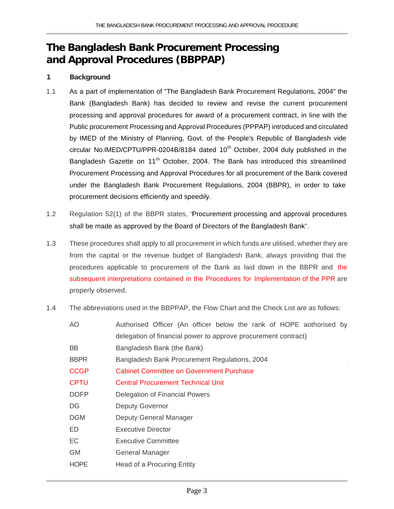## **The Bangladesh Bank Procurement Processing and Approval Procedures (BBPPAP)**

### **1 Background**

- 1.1 As a part of implementation of "The Bangladesh Bank Procurement Regulations, 2004" the Bank (Bangladesh Bank) has decided to review and revise the current procurement processing and approval procedures for award of a procurement contract, in line with the Public procurement Processing and Approval Procedures (PPPAP) introduced and circulated by IMED of the Ministry of Planning, Govt. of the People's Republic of Bangladesh vide circular No.IMED/CPTU/PPR-0204B/8184 dated  $10<sup>th</sup>$  October, 2004 duly published in the Bangladesh Gazette on 11<sup>th</sup> October, 2004. The Bank has introduced this streamlined Procurement Processing and Approval Procedures for all procurement of the Bank covered under the Bangladesh Bank Procurement Regulations, 2004 (BBPR), in order to take procurement decisions efficiently and speedily.
- 1.2 Regulation 52(1) of the BBPR states, "Procurement processing and approval procedures shall be made as approved by the Board of Directors of the Bangladesh Bank".
- 1.3 These procedures shall apply to all procurement in which funds are utilised, whether they are from the capital or the revenue budget of Bangladesh Bank, always providing that the procedures applicable to procurement of the Bank as laid down in the BBPR and the subsequent interpretations contained in the Procedures for Implementation of the PPR are properly observed.
- 1.4 The abbreviations used in the BBPPAP, the Flow Chart and the Check List are as follows:

| AO.         | Authorised Officer (An officer below the rank of HOPE aothorised by |
|-------------|---------------------------------------------------------------------|
|             | delegation of financial power to approve procurement contract)      |
| <b>BB</b>   | Bangladesh Bank (the Bank)                                          |
| <b>BBPR</b> | Bangladesh Bank Procurement Regulations, 2004                       |
| <b>CCGP</b> | <b>Cabinet Committee on Government Purchase</b>                     |
| <b>CPTU</b> | <b>Central Procurement Technical Unit</b>                           |
| <b>DOFP</b> | Delegation of Financial Powers                                      |
| DG          | <b>Deputy Governor</b>                                              |
| <b>DGM</b>  | Deputy General Manager                                              |
| ED          | Executive Director                                                  |
| EC          | <b>Executive Committee</b>                                          |
| <b>GM</b>   | <b>General Manager</b>                                              |
| <b>HOPE</b> | Head of a Procuring Entity                                          |
|             |                                                                     |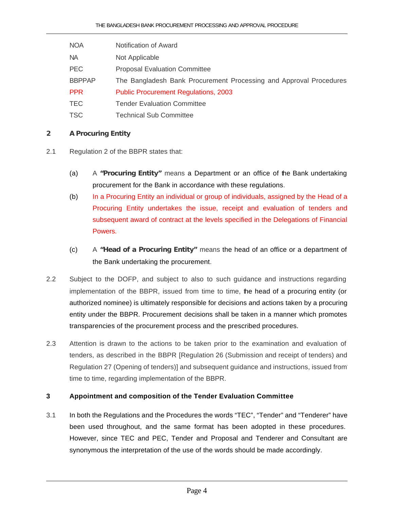- NOA Notification of Award
- NA Not Applicable
- PEC Proposal Evaluation Committee
- BBPPAP The Bangladesh Bank Procurement Processing and Approval Procedures
- PPR Public Procurement Regulations, 2003
- TEC **Tender Evaluation Committee**
- TSC Technical Sub Committee

### **2 A Procuring Entity**

- 2.1 Regulation 2 of the BBPR states that:
	- (a) A **"Procuring Entity"** means a Department or an office of the Bank undertaking procurement for the Bank in accordance with these regulations.
	- (b) In a Procuring Entity an individual or group of individuals, assigned by the Head of a Procuring Entity undertakes the issue, receipt and evaluation of tenders and subsequent award of contract at the levels specified in the Delegations of Financial Powers.
	- (c) A **"Head of a Procuring Entity"** means the head of an office or a department of the Bank undertaking the procurement.
- 2.2 Subject to the DOFP, and subject to also to such guidance and instructions regarding implementation of the BBPR, issued from time to time, the head of a procuring entity (or authorized nominee) is ultimately responsible for decisions and actions taken by a procuring entity under the BBPR. Procurement decisions shall be taken in a manner which promotes transparencies of the procurement process and the prescribed procedures.
- 2.3 Attention is drawn to the actions to be taken prior to the examination and evaluation of tenders, as described in the BBPR [Regulation 26 (Submission and receipt of tenders) and Regulation 27 (Opening of tenders)] and subsequent guidance and instructions, issued from time to time, regarding implementation of the BBPR.

### **3 Appointment and composition of the Tender Evaluation Committee**

3.1 In both the Regulations and the Procedures the words "TEC", "Tender" and "Tenderer" have been used throughout, and the same format has been adopted in these procedures. However, since TEC and PEC, Tender and Proposal and Tenderer and Consultant are synonymous the interpretation of the use of the words should be made accordingly.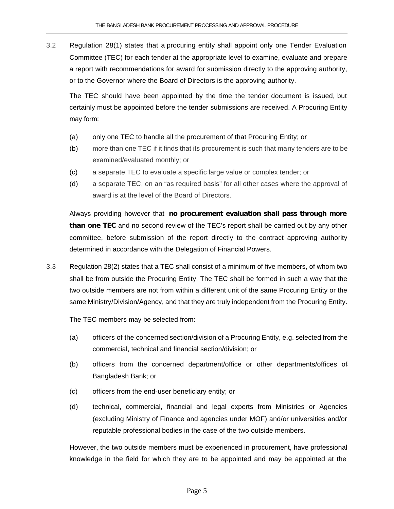3.2 Regulation 28(1) states that a procuring entity shall appoint only one Tender Evaluation Committee (TEC) for each tender at the appropriate level to examine, evaluate and prepare a report with recommendations for award for submission directly to the approving authority, or to the Governor where the Board of Directors is the approving authority.

The TEC should have been appointed by the time the tender document is issued, but certainly must be appointed before the tender submissions are received. A Procuring Entity may form:

- (a) only one TEC to handle all the procurement of that Procuring Entity; or
- (b) more than one TEC if it finds that its procurement is such that many tenders are to be examined/evaluated monthly; or
- (c) a separate TEC to evaluate a specific large value or complex tender; or
- (d) a separate TEC, on an "as required basis" for all other cases where the approval of award is at the level of the Board of Directors.

Always providing however that **no procurement evaluation shall pass through more than one TEC** and no second review of the TEC's report shall be carried out by any other committee, before submission of the report directly to the contract approving authority determined in accordance with the Delegation of Financial Powers.

3.3 Regulation 28(2) states that a TEC shall consist of a minimum of five members, of whom two shall be from outside the Procuring Entity. The TEC shall be formed in such a way that the two outside members are not from within a different unit of the same Procuring Entity or the same Ministry/Division/Agency, and that they are truly independent from the Procuring Entity.

The TEC members may be selected from:

- (a) officers of the concerned section/division of a Procuring Entity, e.g. selected from the commercial, technical and financial section/division; or
- (b) officers from the concerned department/office or other departments/offices of Bangladesh Bank; or
- (c) officers from the end-user beneficiary entity; or
- (d) technical, commercial, financial and legal experts from Ministries or Agencies (excluding Ministry of Finance and agencies under MOF) and/or universities and/or reputable professional bodies in the case of the two outside members.

However, the two outside members must be experienced in procurement, have professional knowledge in the field for which they are to be appointed and may be appointed at the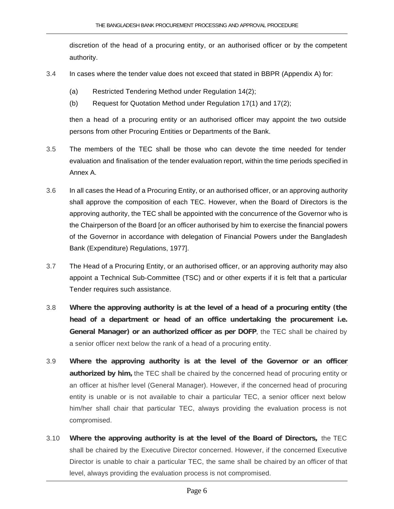discretion of the head of a procuring entity, or an authorised officer or by the competent authority.

- 3.4 In cases where the tender value does not exceed that stated in BBPR (Appendix A) for:
	- (a) Restricted Tendering Method under Regulation 14(2);
	- (b) Request for Quotation Method under Regulation 17(1) and 17(2);

then a head of a procuring entity or an authorised officer may appoint the two outside persons from other Procuring Entities or Departments of the Bank.

- 3.5 The members of the TEC shall be those who can devote the time needed for tender evaluation and finalisation of the tender evaluation report, within the time periods specified in Annex A.
- 3.6 In all cases the Head of a Procuring Entity, or an authorised officer, or an approving authority shall approve the composition of each TEC. However, when the Board of Directors is the approving authority, the TEC shall be appointed with the concurrence of the Governor who is the Chairperson of the Board [or an officer authorised by him to exercise the financial powers of the Governor in accordance with delegation of Financial Powers under the Bangladesh Bank (Expenditure) Regulations, 1977].
- 3.7 The Head of a Procuring Entity, or an authorised officer, or an approving authority may also appoint a Technical Sub-Committee (TSC) and or other experts if it is felt that a particular Tender requires such assistance.
- 3.8 **Where the approving authority is at the level of a head of a procuring entity (the head of a department or head of an office undertaking the procurement i.e. General Manager) or an authorized officer as per DOFP**, the TEC shall be chaired by a senior officer next below the rank of a head of a procuring entity.
- 3.9 **Where the approving authority is at the level of the Governor or an officer authorized by him,** the TEC shall be chaired by the concerned head of procuring entity or an officer at his/her level (General Manager). However, if the concerned head of procuring entity is unable or is not available to chair a particular TEC, a senior officer next below him/her shall chair that particular TEC, always providing the evaluation process is not compromised.
- 3.10 **Where the approving authority is at the level of the Board of Directors,** the TEC shall be chaired by the Executive Director concerned. However, if the concerned Executive Director is unable to chair a particular TEC, the same shall be chaired by an officer of that level, always providing the evaluation process is not compromised.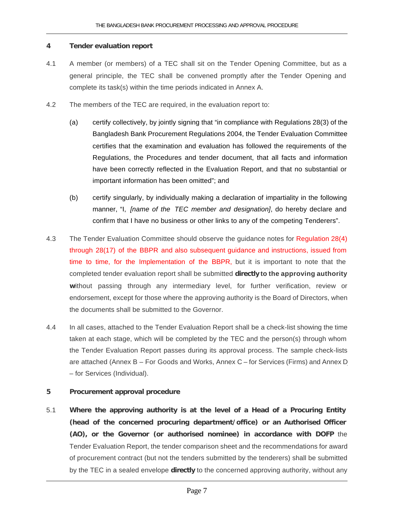#### **4 Tender evaluation report**

- 4.1 A member (or members) of a TEC shall sit on the Tender Opening Committee, but as a general principle, the TEC shall be convened promptly after the Tender Opening and complete its task(s) within the time periods indicated in Annex A.
- 4.2 The members of the TEC are required, in the evaluation report to:
	- (a) certify collectively, by jointly signing that "in compliance with Regulations 28(3) of the Bangladesh Bank Procurement Regulations 2004, the Tender Evaluation Committee certifies that the examination and evaluation has followed the requirements of the Regulations, the Procedures and tender document, that all facts and information have been correctly reflected in the Evaluation Report, and that no substantial or important information has been omitted"; and
	- (b) certify singularly, by individually making a declaration of impartiality in the following manner, "I, *[name of the TEC member and designation]*, do hereby declare and confirm that I have no business or other links to any of the competing Tenderers".
- 4.3 The Tender Evaluation Committee should observe the guidance notes for Regulation 28(4) through 28(17) of the BBPR and also subsequent guidance and instructions, issued from time to time, for the Implementation of the BBPR, but it is important to note that the completed tender evaluation report shall be submitted **directly to the approving authority w**ithout passing through any intermediary level, for further verification, review or endorsement, except for those where the approving authority is the Board of Directors, when the documents shall be submitted to the Governor.
- 4.4 In all cases, attached to the Tender Evaluation Report shall be a check-list showing the time taken at each stage, which will be completed by the TEC and the person(s) through whom the Tender Evaluation Report passes during its approval process. The sample check-lists are attached (Annex B – For Goods and Works, Annex C – for Services (Firms) and Annex D – for Services (Individual).

### **5 Procurement approval procedure**

5.1 **Where the approving authority is at the level of a Head of a Procuring Entity (head of the concerned procuring department/office) or an Authorised Officer (AO), or the Governor (or authorised nominee) in accordance with DOFP** the Tender Evaluation Report, the tender comparison sheet and the recommendations for award of procurement contract (but not the tenders submitted by the tenderers) shall be submitted by the TEC in a sealed envelope **directly** to the concerned approving authority, without any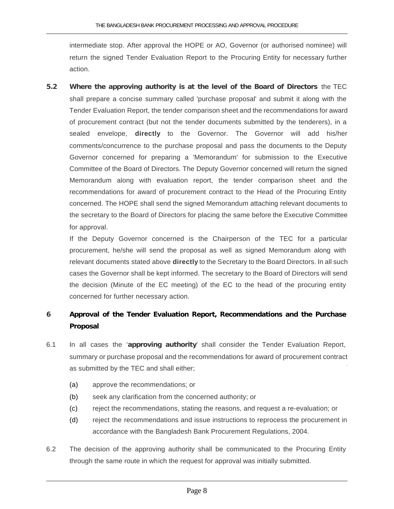intermediate stop. After approval the HOPE or AO, Governor (or authorised nominee) will return the signed Tender Evaluation Report to the Procuring Entity for necessary further action.

**5.2 Where the approving authority is at the level of the Board of Directors** the TEC shall prepare a concise summary called 'purchase proposal' and submit it along with the Tender Evaluation Report, the tender comparison sheet and the recommendations for award of procurement contract (but not the tender documents submitted by the tenderers), in a sealed envelope, **directly** to the Governor. The Governor will add his/her comments/concurrence to the purchase proposal and pass the documents to the Deputy Governor concerned for preparing a 'Memorandum' for submission to the Executive Committee of the Board of Directors. The Deputy Governor concerned will return the signed Memorandum along with evaluation report, the tender comparison sheet and the recommendations for award of procurement contract to the Head of the Procuring Entity concerned. The HOPE shall send the signed Memorandum attaching relevant documents to the secretary to the Board of Directors for placing the same before the Executive Committee for approval.

If the Deputy Governor concerned is the Chairperson of the TEC for a particular procurement, he/she will send the proposal as well as signed Memorandum along with relevant documents stated above **directly** to the Secretary to the Board Directors. In all such cases the Governor shall be kept informed. The secretary to the Board of Directors will send the decision (Minute of the EC meeting) of the EC to the head of the procuring entity concerned for further necessary action.

### **6 Approval of the Tender Evaluation Report, Recommendations and the Purchase Proposal**

- 6.1 In all cases the '**approving authority**' shall consider the Tender Evaluation Report, summary or purchase proposal and the recommendations for award of procurement contract as submitted by the TEC and shall either;
	- (a) approve the recommendations; or
	- (b) seek any clarification from the concerned authority; or
	- (c) reject the recommendations, stating the reasons, and request a re-evaluation; or
	- (d) reject the recommendations and issue instructions to reprocess the procurement in accordance with the Bangladesh Bank Procurement Regulations, 2004.
- 6.2 The decision of the approving authority shall be communicated to the Procuring Entity through the same route in which the request for approval was initially submitted.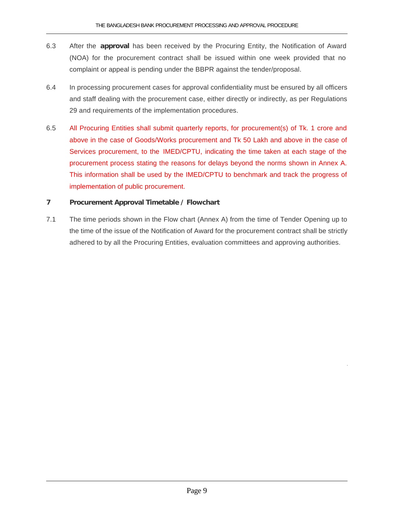- 6.3 After the **approval** has been received by the Procuring Entity, the Notification of Award (NOA) for the procurement contract shall be issued within one week provided that no complaint or appeal is pending under the BBPR against the tender/proposal.
- 6.4 In processing procurement cases for approval confidentiality must be ensured by all officers and staff dealing with the procurement case, either directly or indirectly, as per Regulations 29 and requirements of the implementation procedures.
- 6.5 All Procuring Entities shall submit quarterly reports, for procurement(s) of Tk. 1 crore and above in the case of Goods/Works procurement and Tk 50 Lakh and above in the case of Services procurement, to the IMED/CPTU, indicating the time taken at each stage of the procurement process stating the reasons for delays beyond the norms shown in Annex A. This information shall be used by the IMED/CPTU to benchmark and track the progress of implementation of public procurement.

### **7 Procurement Approval Timetable / Flowchart**

7.1 The time periods shown in the Flow chart (Annex A) from the time of Tender Opening up to the time of the issue of the Notification of Award for the procurement contract shall be strictly adhered to by all the Procuring Entities, evaluation committees and approving authorities.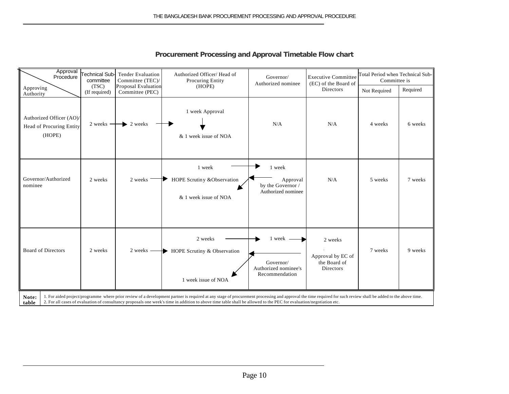| Approval<br>Procedure                                         | Γechnical Sub-l<br>committee | <b>Tender Evaluation</b><br>Committee (TEC)/  | Authorized Officer/ Head of<br>Procuring Entity                                                                                                                                                                                                                                                                                                                                       | Governor/<br>Authorized nominee                                 | <b>Executive Committee</b><br>(EC) of the Board of        | Total Period when Technical Sub-<br>Committee is |          |
|---------------------------------------------------------------|------------------------------|-----------------------------------------------|---------------------------------------------------------------------------------------------------------------------------------------------------------------------------------------------------------------------------------------------------------------------------------------------------------------------------------------------------------------------------------------|-----------------------------------------------------------------|-----------------------------------------------------------|--------------------------------------------------|----------|
| Approving<br>Authority                                        | (TSC)<br>(If required)       | <b>Proposal Evaluation</b><br>Committee (PEC) | (HOPE)                                                                                                                                                                                                                                                                                                                                                                                |                                                                 | Directors                                                 | Not Required                                     | Required |
| Authorized Officer (AO)<br>Head of Procuring Entity<br>(HOPE) | $2$ weeks $-$                | $\blacktriangleright$ 2 weeks                 | 1 week Approval<br>& 1 week issue of NOA                                                                                                                                                                                                                                                                                                                                              | N/A                                                             | N/A                                                       | 4 weeks                                          | 6 weeks  |
| Governor/Authorized<br>nominee                                | 2 weeks                      | 2 weeks                                       | 1 week<br>HOPE Scrutiny &Observation<br>& 1 week issue of NOA                                                                                                                                                                                                                                                                                                                         | 1 week<br>Approval<br>by the Governor /<br>Authorized nominee   | N/A                                                       | 5 weeks                                          | 7 weeks  |
| <b>Board of Directors</b>                                     | 2 weeks                      |                                               | 2 weeks<br>2 weeks $\longrightarrow$ HOPE Scrutiny & Observation<br>1 week issue of NOA                                                                                                                                                                                                                                                                                               | 1 week -<br>Governor/<br>Authorized nominee's<br>Recommendation | 2 weeks<br>Approval by EC of<br>the Board of<br>Directors | 7 weeks                                          | 9 weeks  |
| Note:<br>table                                                |                              |                                               | 1. For aided project/programme where prior review of a development partner is required at any stage of procurement processing and approval the time required for such review shall be added to the above time.<br>2. For all cases of evaluation of consultancy proposals one week's time in addition to above time table shall be allowed to the PEC for evaluation/negotiation etc. |                                                                 |                                                           |                                                  |          |

### **Procurement Processing and Approval Timetable Flow chart**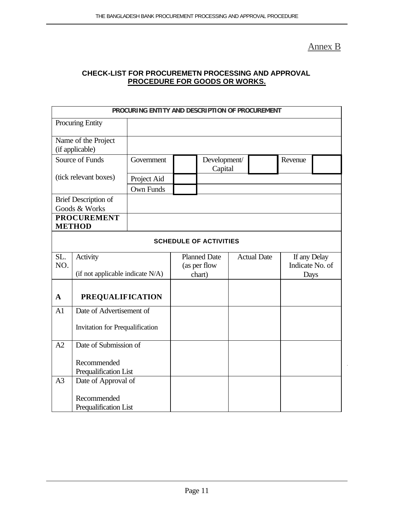Annex B

### **CHECK-LIST FOR PROCUREMETN PROCESSING AND APPROVAL PROCEDURE FOR GOODS OR WORKS.**

|                                      | PROCURING ENTITY AND DESCRIPTION OF PROCUREMENT |                  |  |                                     |  |                                                       |      |  |
|--------------------------------------|-------------------------------------------------|------------------|--|-------------------------------------|--|-------------------------------------------------------|------|--|
|                                      | <b>Procuring Entity</b>                         |                  |  |                                     |  |                                                       |      |  |
|                                      | Name of the Project                             |                  |  |                                     |  |                                                       |      |  |
|                                      | (if applicable)                                 |                  |  |                                     |  |                                                       |      |  |
| Source of Funds<br>Government        |                                                 |                  |  | Development/<br>Capital             |  | Revenue                                               |      |  |
|                                      | (tick relevant boxes)                           | Project Aid      |  |                                     |  |                                                       |      |  |
|                                      |                                                 | <b>Own Funds</b> |  |                                     |  |                                                       |      |  |
|                                      | <b>Brief Description of</b>                     |                  |  |                                     |  |                                                       |      |  |
|                                      | Goods & Works                                   |                  |  |                                     |  |                                                       |      |  |
| <b>PROCUREMENT</b><br><b>METHOD</b>  |                                                 |                  |  |                                     |  |                                                       |      |  |
|                                      |                                                 |                  |  | <b>SCHEDULE OF ACTIVITIES</b>       |  |                                                       |      |  |
|                                      |                                                 |                  |  |                                     |  |                                                       |      |  |
| SL.<br>NO.                           | Activity                                        |                  |  | <b>Planned Date</b><br>(as per flow |  | <b>Actual Date</b><br>If any Delay<br>Indicate No. of |      |  |
|                                      | (if not applicable indicate N/A)                |                  |  | chart)                              |  |                                                       | Days |  |
|                                      |                                                 |                  |  |                                     |  |                                                       |      |  |
| $\mathbf A$                          | <b>PREQUALIFICATION</b>                         |                  |  |                                     |  |                                                       |      |  |
| A1                                   | Date of Advertisement of                        |                  |  |                                     |  |                                                       |      |  |
| Invitation for Prequalification      |                                                 |                  |  |                                     |  |                                                       |      |  |
| Date of Submission of<br>A2          |                                                 |                  |  |                                     |  |                                                       |      |  |
| Recommended<br>Prequalification List |                                                 |                  |  |                                     |  |                                                       |      |  |
| A <sub>3</sub>                       | Date of Approval of                             |                  |  |                                     |  |                                                       |      |  |
|                                      | Recommended<br>Prequalification List            |                  |  |                                     |  |                                                       |      |  |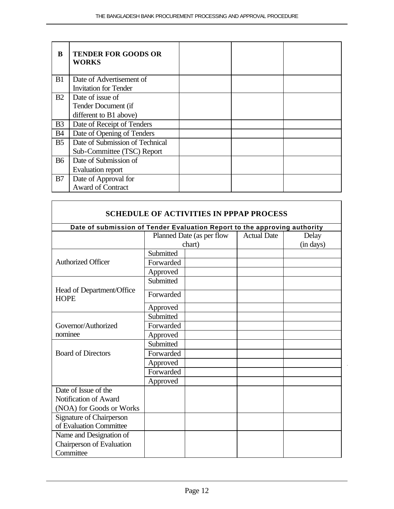| B              | <b>TENDER FOR GOODS OR</b><br>WORKS |  |  |
|----------------|-------------------------------------|--|--|
| B1             | Date of Advertisement of            |  |  |
|                | <b>Invitation for Tender</b>        |  |  |
| B2             | Date of issue of                    |  |  |
|                | Tender Document (if                 |  |  |
|                | different to B1 above)              |  |  |
| B <sub>3</sub> | Date of Receipt of Tenders          |  |  |
| <b>B4</b>      | Date of Opening of Tenders          |  |  |
| B <sub>5</sub> | Date of Submission of Technical     |  |  |
|                | Sub-Committee (TSC) Report          |  |  |
| <b>B6</b>      | Date of Submission of               |  |  |
|                | Evaluation report                   |  |  |
| B7             | Date of Approval for                |  |  |
|                | <b>Award of Contract</b>            |  |  |

 $\overline{\Gamma}$ 

|                                                                           |           | <b>SCHEDULE OF ACTIVITIES IN PPPAP PROCESS</b> |                    |           |  |  |  |  |
|---------------------------------------------------------------------------|-----------|------------------------------------------------|--------------------|-----------|--|--|--|--|
| Date of submission of Tender Evaluation Report to the approving authority |           |                                                |                    |           |  |  |  |  |
|                                                                           |           | Planned Date (as per flow                      | <b>Actual Date</b> | Delay     |  |  |  |  |
|                                                                           |           | chart)                                         |                    | (in days) |  |  |  |  |
|                                                                           | Submitted |                                                |                    |           |  |  |  |  |
| <b>Authorized Officer</b>                                                 | Forwarded |                                                |                    |           |  |  |  |  |
|                                                                           | Approved  |                                                |                    |           |  |  |  |  |
|                                                                           | Submitted |                                                |                    |           |  |  |  |  |
| Head of Department/Office<br><b>HOPE</b>                                  | Forwarded |                                                |                    |           |  |  |  |  |
|                                                                           | Approved  |                                                |                    |           |  |  |  |  |
|                                                                           | Submitted |                                                |                    |           |  |  |  |  |
| Governor/Authorized                                                       | Forwarded |                                                |                    |           |  |  |  |  |
| nominee                                                                   | Approved  |                                                |                    |           |  |  |  |  |
|                                                                           | Submitted |                                                |                    |           |  |  |  |  |
| <b>Board of Directors</b>                                                 | Forwarded |                                                |                    |           |  |  |  |  |
|                                                                           | Approved  |                                                |                    |           |  |  |  |  |
|                                                                           | Forwarded |                                                |                    |           |  |  |  |  |
|                                                                           | Approved  |                                                |                    |           |  |  |  |  |
| Date of Issue of the                                                      |           |                                                |                    |           |  |  |  |  |
| Notification of Award                                                     |           |                                                |                    |           |  |  |  |  |
| (NOA) for Goods or Works                                                  |           |                                                |                    |           |  |  |  |  |
| <b>Signature of Chairperson</b>                                           |           |                                                |                    |           |  |  |  |  |
| of Evaluation Committee                                                   |           |                                                |                    |           |  |  |  |  |
| Name and Designation of                                                   |           |                                                |                    |           |  |  |  |  |
| Chairperson of Evaluation                                                 |           |                                                |                    |           |  |  |  |  |
| Committee                                                                 |           |                                                |                    |           |  |  |  |  |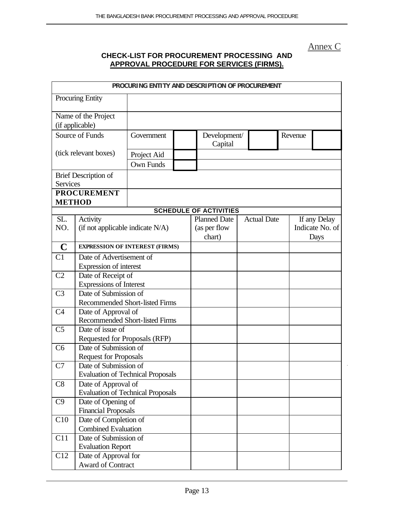Annex C

### **CHECK-LIST FOR PROCUREMENT PROCESSING AND APPROVAL PROCEDURE FOR SERVICES (FIRMS).**

|                 |                                                     | PROCURING ENTITY AND DESCRIPTION OF PROCUREMENT  |  |                               |                    |         |                 |
|-----------------|-----------------------------------------------------|--------------------------------------------------|--|-------------------------------|--------------------|---------|-----------------|
|                 | <b>Procuring Entity</b>                             |                                                  |  |                               |                    |         |                 |
|                 | Name of the Project                                 |                                                  |  |                               |                    |         |                 |
|                 | (if applicable)                                     |                                                  |  |                               |                    |         |                 |
|                 | Source of Funds                                     | Government                                       |  | Development/<br>Capital       |                    | Revenue |                 |
|                 | (tick relevant boxes)                               | Project Aid                                      |  |                               |                    |         |                 |
|                 |                                                     | <b>Own Funds</b>                                 |  |                               |                    |         |                 |
|                 | <b>Brief Description of</b>                         |                                                  |  |                               |                    |         |                 |
| <b>Services</b> |                                                     |                                                  |  |                               |                    |         |                 |
|                 | <b>PROCUREMENT</b>                                  |                                                  |  |                               |                    |         |                 |
| <b>METHOD</b>   |                                                     |                                                  |  |                               |                    |         |                 |
|                 |                                                     |                                                  |  | <b>SCHEDULE OF ACTIVITIES</b> |                    |         |                 |
| SL.             | Activity                                            |                                                  |  | <b>Planned Date</b>           | <b>Actual Date</b> |         | If any Delay    |
| NO.             | (if not applicable indicate N/A)                    |                                                  |  | (as per flow                  |                    |         | Indicate No. of |
|                 |                                                     |                                                  |  | chart)                        |                    |         | Days            |
| $\mathbf C$     |                                                     | <b>EXPRESSION OF INTEREST (FIRMS)</b>            |  |                               |                    |         |                 |
| C1              | Date of Advertisement of                            |                                                  |  |                               |                    |         |                 |
|                 | Expression of interest                              |                                                  |  |                               |                    |         |                 |
| C <sub>2</sub>  | Date of Receipt of                                  |                                                  |  |                               |                    |         |                 |
|                 |                                                     | Expressions of Interest<br>Date of Submission of |  |                               |                    |         |                 |
| C <sub>3</sub>  |                                                     | <b>Recommended Short-listed Firms</b>            |  |                               |                    |         |                 |
| C <sub>4</sub>  | Date of Approval of                                 |                                                  |  |                               |                    |         |                 |
|                 |                                                     | Recommended Short-listed Firms                   |  |                               |                    |         |                 |
| C <sub>5</sub>  | Date of issue of                                    |                                                  |  |                               |                    |         |                 |
|                 | Requested for Proposals (RFP)                       |                                                  |  |                               |                    |         |                 |
| C <sub>6</sub>  | Date of Submission of                               |                                                  |  |                               |                    |         |                 |
|                 | <b>Request for Proposals</b>                        |                                                  |  |                               |                    |         |                 |
| C7              | Date of Submission of                               |                                                  |  |                               |                    |         |                 |
|                 |                                                     | <b>Evaluation of Technical Proposals</b>         |  |                               |                    |         |                 |
| C8              | Date of Approval of                                 |                                                  |  |                               |                    |         |                 |
|                 |                                                     | <b>Evaluation of Technical Proposals</b>         |  |                               |                    |         |                 |
| C9              | Date of Opening of                                  |                                                  |  |                               |                    |         |                 |
|                 | <b>Financial Proposals</b>                          |                                                  |  |                               |                    |         |                 |
| C10             | Date of Completion of                               |                                                  |  |                               |                    |         |                 |
|                 | <b>Combined Evaluation</b><br>Date of Submission of |                                                  |  |                               |                    |         |                 |
| C11             | <b>Evaluation Report</b>                            |                                                  |  |                               |                    |         |                 |
| C12             | Date of Approval for                                |                                                  |  |                               |                    |         |                 |
|                 | Award of Contract                                   |                                                  |  |                               |                    |         |                 |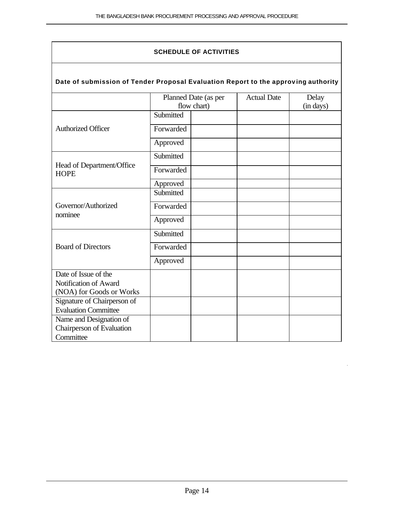$\overline{1}$ 

| <b>SCHEDULE OF ACTIVITIES</b>                                                      |           |                                                                                 |  |  |  |  |  |
|------------------------------------------------------------------------------------|-----------|---------------------------------------------------------------------------------|--|--|--|--|--|
| Date of submission of Tender Proposal Evaluation Report to the approving authority |           |                                                                                 |  |  |  |  |  |
|                                                                                    |           | <b>Actual Date</b><br>Planned Date (as per<br>Delay<br>flow chart)<br>(in days) |  |  |  |  |  |
|                                                                                    | Submitted |                                                                                 |  |  |  |  |  |
| <b>Authorized Officer</b>                                                          | Forwarded |                                                                                 |  |  |  |  |  |
|                                                                                    | Approved  |                                                                                 |  |  |  |  |  |
|                                                                                    | Submitted |                                                                                 |  |  |  |  |  |
| Head of Department/Office<br><b>HOPE</b>                                           | Forwarded |                                                                                 |  |  |  |  |  |
|                                                                                    | Approved  |                                                                                 |  |  |  |  |  |
|                                                                                    | Submitted |                                                                                 |  |  |  |  |  |
| Governor/Authorized<br>nominee                                                     | Forwarded |                                                                                 |  |  |  |  |  |
|                                                                                    | Approved  |                                                                                 |  |  |  |  |  |
|                                                                                    | Submitted |                                                                                 |  |  |  |  |  |
| <b>Board of Directors</b>                                                          | Forwarded |                                                                                 |  |  |  |  |  |
|                                                                                    | Approved  |                                                                                 |  |  |  |  |  |
| Date of Issue of the                                                               |           |                                                                                 |  |  |  |  |  |
| Notification of Award<br>(NOA) for Goods or Works                                  |           |                                                                                 |  |  |  |  |  |
| Signature of Chairperson of                                                        |           |                                                                                 |  |  |  |  |  |
| <b>Evaluation Committee</b>                                                        |           |                                                                                 |  |  |  |  |  |
| Name and Designation of                                                            |           |                                                                                 |  |  |  |  |  |
| Chairperson of Evaluation                                                          |           |                                                                                 |  |  |  |  |  |
| Committee                                                                          |           |                                                                                 |  |  |  |  |  |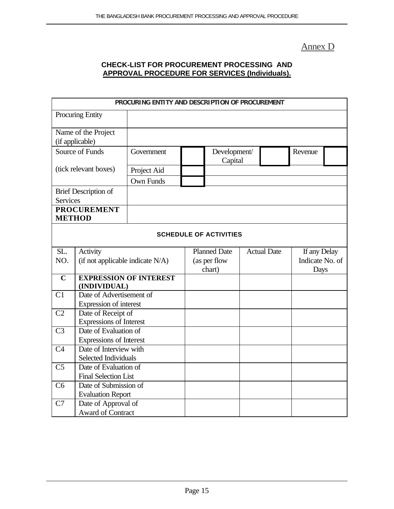### Annex D

### **CHECK-LIST FOR PROCUREMENT PROCESSING AND APPROVAL PROCEDURE FOR SERVICES (Individuals).**

|                                          | PROCURING ENTITY AND DESCRIPTION OF PROCUREMENT |                               |  |                               |  |                    |                 |  |
|------------------------------------------|-------------------------------------------------|-------------------------------|--|-------------------------------|--|--------------------|-----------------|--|
|                                          | Procuring Entity                                |                               |  |                               |  |                    |                 |  |
|                                          |                                                 |                               |  |                               |  |                    |                 |  |
|                                          | Name of the Project                             |                               |  |                               |  |                    |                 |  |
|                                          | (if applicable)                                 |                               |  |                               |  |                    |                 |  |
|                                          | Source of Funds                                 | Government                    |  | Development/                  |  |                    | Revenue         |  |
|                                          |                                                 |                               |  | Capital                       |  |                    |                 |  |
|                                          | (tick relevant boxes)                           | Project Aid                   |  |                               |  |                    |                 |  |
|                                          |                                                 | Own Funds                     |  |                               |  |                    |                 |  |
|                                          | <b>Brief Description of</b>                     |                               |  |                               |  |                    |                 |  |
| <b>Services</b>                          |                                                 |                               |  |                               |  |                    |                 |  |
|                                          | <b>PROCUREMENT</b>                              |                               |  |                               |  |                    |                 |  |
|                                          | <b>METHOD</b>                                   |                               |  |                               |  |                    |                 |  |
|                                          |                                                 |                               |  |                               |  |                    |                 |  |
|                                          |                                                 |                               |  | <b>SCHEDULE OF ACTIVITIES</b> |  |                    |                 |  |
| SL.                                      | Activity                                        |                               |  | <b>Planned Date</b>           |  | <b>Actual Date</b> | If any Delay    |  |
| NO.                                      | (if not applicable indicate N/A)                |                               |  | (as per flow                  |  |                    | Indicate No. of |  |
|                                          |                                                 |                               |  | chart)                        |  |                    | Days            |  |
| $\overline{\mathbf{C}}$                  |                                                 | <b>EXPRESSION OF INTEREST</b> |  |                               |  |                    |                 |  |
|                                          | (INDIVIDUAL)                                    |                               |  |                               |  |                    |                 |  |
| C1                                       | Date of Advertisement of                        |                               |  |                               |  |                    |                 |  |
|                                          | Expression of interest                          |                               |  |                               |  |                    |                 |  |
| C <sub>2</sub>                           | Date of Receipt of                              |                               |  |                               |  |                    |                 |  |
|                                          | <b>Expressions of Interest</b>                  |                               |  |                               |  |                    |                 |  |
| C <sub>3</sub>                           | Date of Evaluation of                           |                               |  |                               |  |                    |                 |  |
|                                          | <b>Expressions of Interest</b>                  |                               |  |                               |  |                    |                 |  |
| Date of Interview with<br>C <sub>4</sub> |                                                 |                               |  |                               |  |                    |                 |  |
| Selected Individuals                     |                                                 |                               |  |                               |  |                    |                 |  |
| C <sub>5</sub>                           | Date of Evaluation of                           |                               |  |                               |  |                    |                 |  |
|                                          | <b>Final Selection List</b>                     |                               |  |                               |  |                    |                 |  |
| C <sub>6</sub>                           | Date of Submission of                           |                               |  |                               |  |                    |                 |  |
|                                          | <b>Evaluation Report</b>                        |                               |  |                               |  |                    |                 |  |
| C7                                       | Date of Approval of                             |                               |  |                               |  |                    |                 |  |
|                                          | <b>Award of Contract</b>                        |                               |  |                               |  |                    |                 |  |